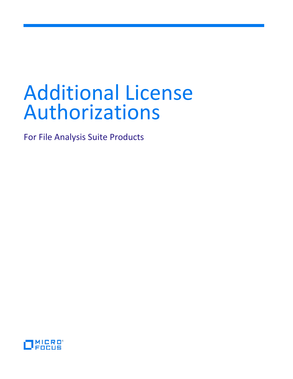# Additional License Authorizations

For File Analysis Suite Products

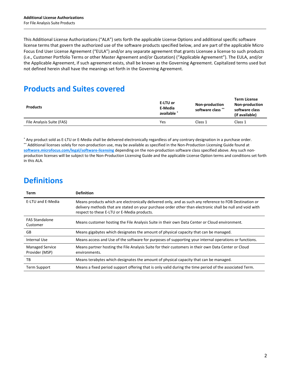This Additional License Authorizations ("ALA") sets forth the applicable License Options and additional specific software license terms that govern the authorized use of the software products specified below, and are part of the applicable Micro Focus End User License Agreement ("EULA") and/or any separate agreement that grants Licensee a license to such products (i.e., Customer Portfolio Terms or other Master Agreement and/or Quotation) ("Applicable Agreement"). The EULA, and/or the Applicable Agreement, if such agreement exists, shall be known as the Governing Agreement. Capitalized terms used but not defined herein shall have the meanings set forth in the Governing Agreement.

# **Products and Suites covered**

| <b>Products</b>           | E-LTU or<br>E-Media<br>available * | <b>Non-production</b><br>software class ** | <b>Term License</b><br><b>Non-production</b><br>software class<br>(if available) |
|---------------------------|------------------------------------|--------------------------------------------|----------------------------------------------------------------------------------|
| File Analysis Suite (FAS) | Yes                                | Class <sub>1</sub>                         | Class 1                                                                          |

\* Any product sold as E-LTU or E-Media shall be delivered electronically regardless of any contrary designation in a purchase order. \*\* Additional licenses solely for non-production use, may be available as specified in the Non-Production Licensing Guide found at **[software.microfocus.com/legal/software-licensing](http://software.microfocus.com/legal/software-licensing)** depending on the non-production software class specified above. Any such nonproduction licenses will be subject to the Non-Production Licensing Guide and the applicable License Option terms and conditions set forth in this ALA.

# **Definitions**

| Term                                     | <b>Definition</b>                                                                                                                                                                                                                                                   |
|------------------------------------------|---------------------------------------------------------------------------------------------------------------------------------------------------------------------------------------------------------------------------------------------------------------------|
| E-LTU and E-Media                        | Means products which are electronically delivered only, and as such any reference to FOB Destination or<br>delivery methods that are stated on your purchase order other than electronic shall be null and void with<br>respect to these E-LTU or E-Media products. |
| <b>FAS Standalone</b><br>Customer        | Means customer hosting the File Analysis Suite in their own Data Center or Cloud environment.                                                                                                                                                                       |
| GB                                       | Means gigabytes which designates the amount of physical capacity that can be managed.                                                                                                                                                                               |
| Internal Use                             | Means access and Use of the software for purposes of supporting your internal operations or functions.                                                                                                                                                              |
| <b>Managed Service</b><br>Provider (MSP) | Means partner hosting the File Analysis Suite for their customers in their own Data Center or Cloud<br>environments.                                                                                                                                                |
| ТB                                       | Means terabytes which designates the amount of physical capacity that can be managed.                                                                                                                                                                               |
| <b>Term Support</b>                      | Means a fixed period support offering that is only valid during the time period of the associated Term.                                                                                                                                                             |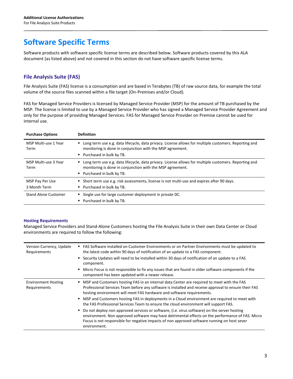## **Software Specific Terms**

Software products with software specific license terms are described below. Software products covered by this ALA document (as listed above) and not covered in this section do not have software specific license terms.

## **File Analysis Suite (FAS)**

File Analysis Suite (FAS) license is a consumption and are based in Terabytes (TB) of raw source data, for example the total volume of the source files scanned within a file target (On-Premises and/or Cloud).

FAS for Managed Service Providers is licensed by Managed Service Provider (MSP) for the amount of TB purchased by the MSP. The license is limited to use by a Managed Service Provider who has signed a Managed Service Provider Agreement and only for the purpose of providing Managed Services. FAS for Managed Service Provider on Premise cannot be used for internal use.

| <b>Purchase Options</b>         | <b>Definition</b>                                                                                                                                                                                |
|---------------------------------|--------------------------------------------------------------------------------------------------------------------------------------------------------------------------------------------------|
| MSP Multi-use 1 Year<br>Term    | Long term use e.g. data lifecycle, data privacy. License allows for multiple customers. Reporting and<br>monitoring is done in conjunction with the MSP agreement.<br>• Purchased in bulk by TB. |
| MSP Multi-use 3 Year<br>Term    | Long term use e.g. data lifecycle, data privacy. License allows for multiple customers. Reporting and<br>monitoring is done in conjunction with the MSP agreement.<br>• Purchased in bulk by TB. |
| MSP Pay Per Use<br>3 Month Term | Short term use e.g. risk assessments, license is not multi-use and expires after 90 days.<br>• Purchased in bulk by TB.                                                                          |
| <b>Stand Alone Customer</b>     | Single use for large customer deployment in private DC.<br>Purchased in bulk by TB.                                                                                                              |

## **Hosting Requirements**

Managed Service Providers and Stand-Alone Customers hosting the File Analysis Suite in their own Data Center or Cloud environments are required to follow the following:

| Version Currency, Update<br>Requirements   | FAS Software installed on Customer Environments or on Partner Environments must be updated to<br>the latest code within 90 days of notification of an update to a FAS component.<br>Security Updates will need to be installed within 30 days of notification of an update to a FAS<br>component.<br>Micro Focus is not responsible to fix any issues that are found in older software components if the<br>component has been updated with a newer release. |
|--------------------------------------------|--------------------------------------------------------------------------------------------------------------------------------------------------------------------------------------------------------------------------------------------------------------------------------------------------------------------------------------------------------------------------------------------------------------------------------------------------------------|
| <b>Environment Hosting</b><br>Requirements | MSP and Customers hosting FAS in an internal data Center are required to meet with the FAS<br>Professional Services Team before any software is installed and receive approval to ensure their FAS<br>hosting environment will meet FAS hardware and software requirements.                                                                                                                                                                                  |
|                                            | " MSP and Customers hosting FAS in deployments in a Cloud environment are required to meet with<br>the FAS Professional Services Team to ensure the cloud environment will support FAS.                                                                                                                                                                                                                                                                      |
|                                            | Do not deploy non approved services or software, (i.e. virus software) on the server hosting<br>environment. Non approved software may have detrimental effects on the performance of FAS. Micro<br>Focus is not responsible for negative impacts of non approved software running on host sever<br>environment.                                                                                                                                             |